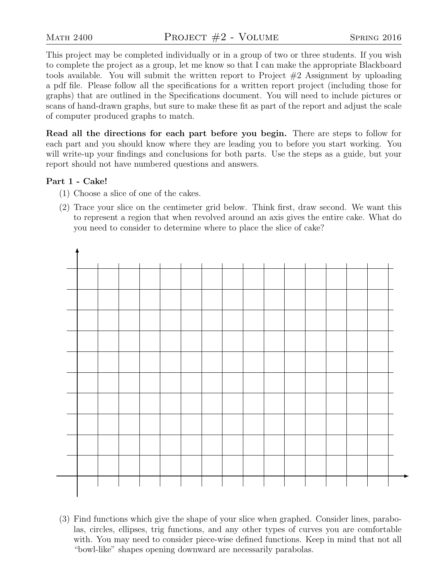This project may be completed individually or in a group of two or three students. If you wish to complete the project as a group, let me know so that I can make the appropriate Blackboard tools available. You will submit the written report to Project #2 Assignment by uploading a pdf file. Please follow all the specifications for a written report project (including those for graphs) that are outlined in the Specifications document. You will need to include pictures or scans of hand-drawn graphs, but sure to make these fit as part of the report and adjust the scale of computer produced graphs to match.

Read all the directions for each part before you begin. There are steps to follow for each part and you should know where they are leading you to before you start working. You will write-up your findings and conclusions for both parts. Use the steps as a guide, but your report should not have numbered questions and answers.

## Part 1 - Cake!

- (1) Choose a slice of one of the cakes.
- (2) Trace your slice on the centimeter grid below. Think first, draw second. We want this to represent a region that when revolved around an axis gives the entire cake. What do you need to consider to determine where to place the slice of cake?



(3) Find functions which give the shape of your slice when graphed. Consider lines, parabolas, circles, ellipses, trig functions, and any other types of curves you are comfortable with. You may need to consider piece-wise defined functions. Keep in mind that not all "bowl-like" shapes opening downward are necessarily parabolas.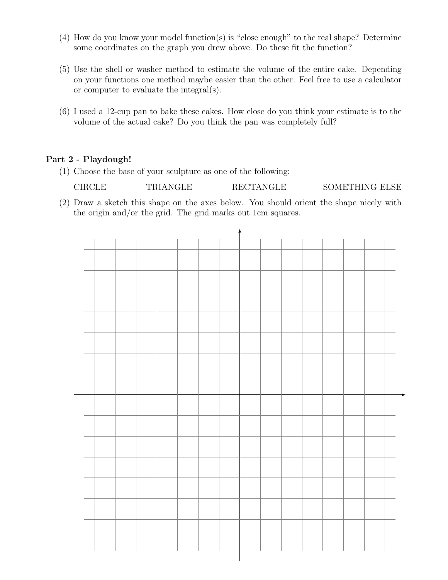- (4) How do you know your model function(s) is "close enough" to the real shape? Determine some coordinates on the graph you drew above. Do these fit the function?
- (5) Use the shell or washer method to estimate the volume of the entire cake. Depending on your functions one method maybe easier than the other. Feel free to use a calculator or computer to evaluate the integral(s).
- (6) I used a 12-cup pan to bake these cakes. How close do you think your estimate is to the volume of the actual cake? Do you think the pan was completely full?

## Part 2 - Playdough!

(1) Choose the base of your sculpture as one of the following:

CIRCLE TRIANGLE RECTANGLE SOMETHING ELSE

(2) Draw a sketch this shape on the axes below. You should orient the shape nicely with the origin and/or the grid. The grid marks out 1cm squares.